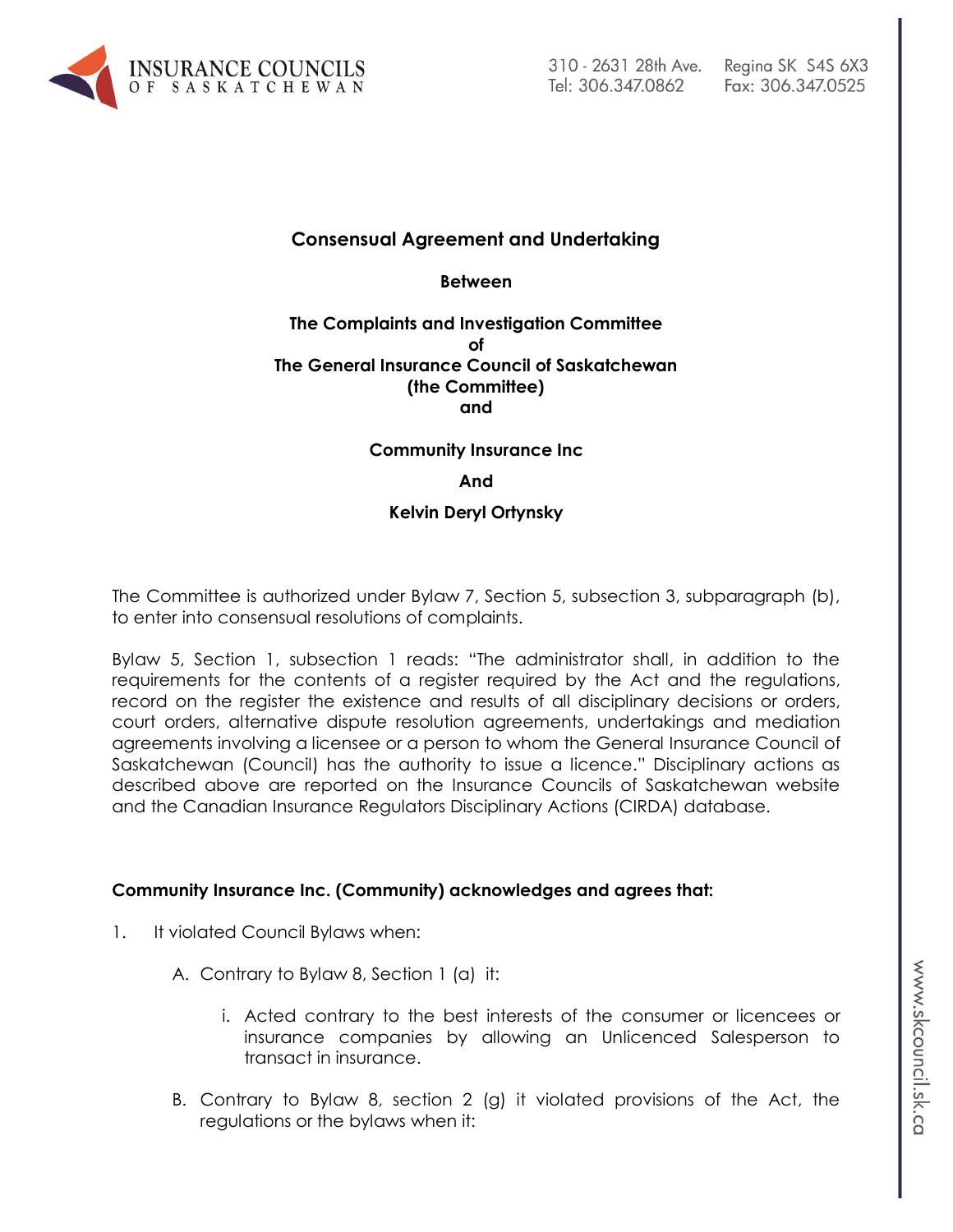

# **Consensual Agreement and Undertaking**

**Between**

### **The Complaints and Investigation Committee of The General Insurance Council of Saskatchewan (the Committee) and**

### **Community Insurance Inc**

#### **And**

### **Kelvin Deryl Ortynsky**

The Committee is authorized under Bylaw 7, Section 5, subsection 3, subparagraph (b), to enter into consensual resolutions of complaints.

Bylaw 5, Section 1, subsection 1 reads: "The administrator shall, in addition to the requirements for the contents of a register required by the Act and the regulations, record on the register the existence and results of all disciplinary decisions or orders, court orders, alternative dispute resolution agreements, undertakings and mediation agreements involving a licensee or a person to whom the General Insurance Council of Saskatchewan (Council) has the authority to issue a licence." Disciplinary actions as described above are reported on the Insurance Councils of Saskatchewan website and the Canadian Insurance Regulators Disciplinary Actions (CIRDA) database.

### **Community Insurance Inc. (Community) acknowledges and agrees that:**

- 1. It violated Council Bylaws when:
	- A. Contrary to Bylaw 8, Section 1 (a) it:
		- i. Acted contrary to the best interests of the consumer or licencees or insurance companies by allowing an Unlicenced Salesperson to transact in insurance.
	- B. Contrary to Bylaw 8, section 2 (g) it violated provisions of the Act, the regulations or the bylaws when it: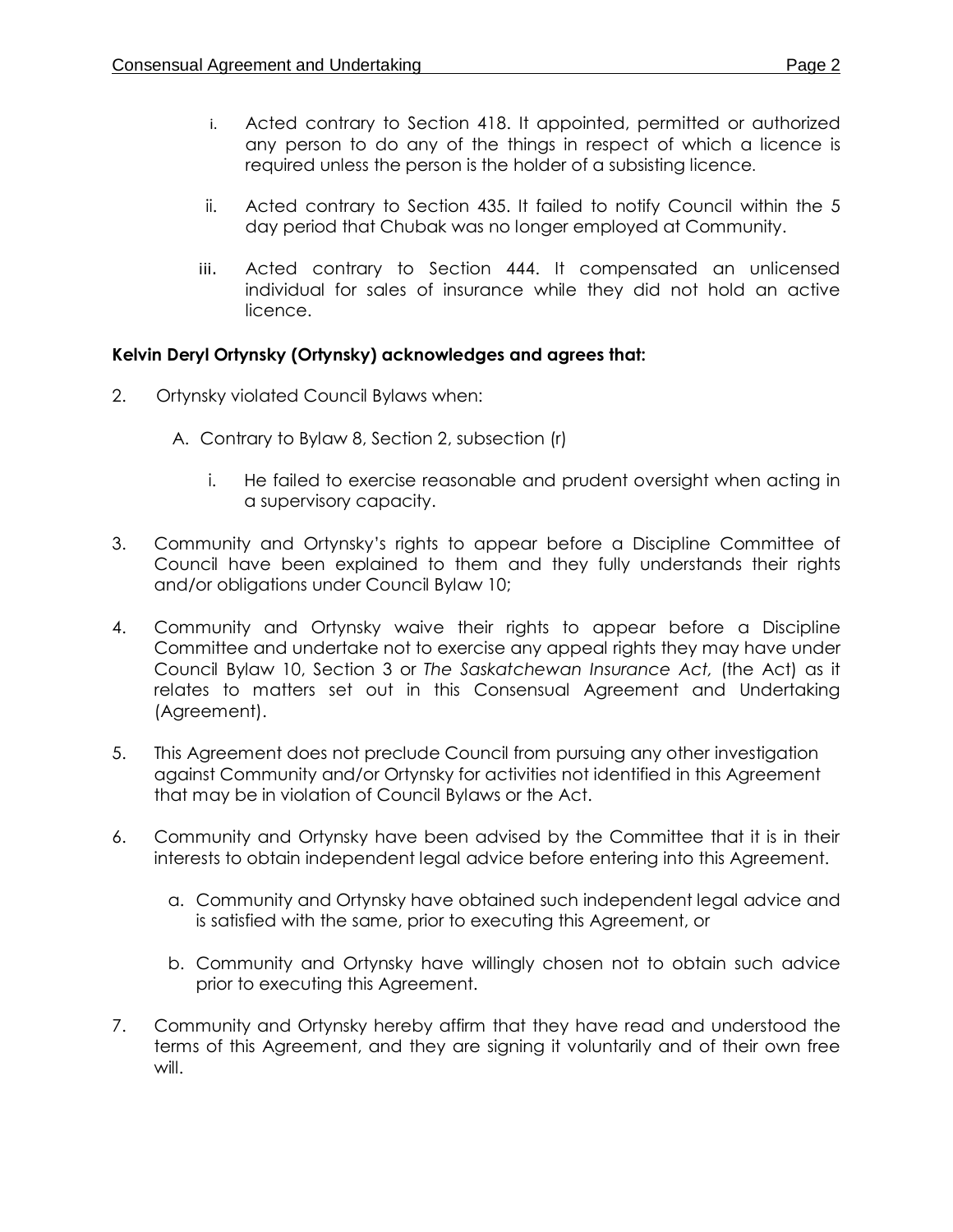- i. Acted contrary to Section 418. It appointed, permitted or authorized any person to do any of the things in respect of which a licence is required unless the person is the holder of a subsisting licence.
- ii. Acted contrary to Section 435. It failed to notify Council within the 5 day period that Chubak was no longer employed at Community.
- iii. Acted contrary to Section 444. It compensated an unlicensed individual for sales of insurance while they did not hold an active licence.

# **Kelvin Deryl Ortynsky (Ortynsky) acknowledges and agrees that:**

- 2. Ortynsky violated Council Bylaws when:
	- A. Contrary to Bylaw 8, Section 2, subsection (r)
		- i. He failed to exercise reasonable and prudent oversight when acting in a supervisory capacity.
- 3. Community and Ortynsky's rights to appear before a Discipline Committee of Council have been explained to them and they fully understands their rights and/or obligations under Council Bylaw 10;
- 4. Community and Ortynsky waive their rights to appear before a Discipline Committee and undertake not to exercise any appeal rights they may have under Council Bylaw 10, Section 3 or *The Saskatchewan Insurance Act,* (the Act) as it relates to matters set out in this Consensual Agreement and Undertaking (Agreement).
- 5. This Agreement does not preclude Council from pursuing any other investigation against Community and/or Ortynsky for activities not identified in this Agreement that may be in violation of Council Bylaws or the Act.
- 6. Community and Ortynsky have been advised by the Committee that it is in their interests to obtain independent legal advice before entering into this Agreement.
	- a. Community and Ortynsky have obtained such independent legal advice and is satisfied with the same, prior to executing this Agreement, or
	- b. Community and Ortynsky have willingly chosen not to obtain such advice prior to executing this Agreement.
- 7. Community and Ortynsky hereby affirm that they have read and understood the terms of this Agreement, and they are signing it voluntarily and of their own free will.